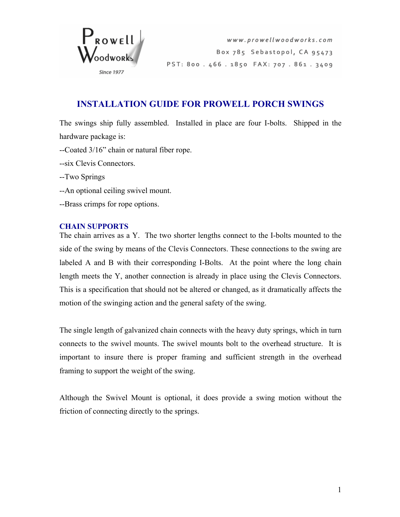

## **INSTALLATION GUIDE FOR PROWELL PORCH SWINGS**

The swings ship fully assembled. Installed in place are four I-bolts. Shipped in the hardware package is:

- --Coated 3/16" chain or natural fiber rope.
- --six Clevis Connectors.
- --Two Springs
- --An optional ceiling swivel mount.
- --Brass crimps for rope options.

## **CHAIN SUPPORTS**

The chain arrives as a Y. The two shorter lengths connect to the I-bolts mounted to the side of the swing by means of the Clevis Connectors. These connections to the swing are labeled A and B with their corresponding I-Bolts. At the point where the long chain length meets the Y, another connection is already in place using the Clevis Connectors. This is a specification that should not be altered or changed, as it dramatically affects the motion of the swinging action and the general safety of the swing.

The single length of galvanized chain connects with the heavy duty springs, which in turn connects to the swivel mounts. The swivel mounts bolt to the overhead structure. It is important to insure there is proper framing and sufficient strength in the overhead framing to support the weight of the swing.

Although the Swivel Mount is optional, it does provide a swing motion without the friction of connecting directly to the springs.